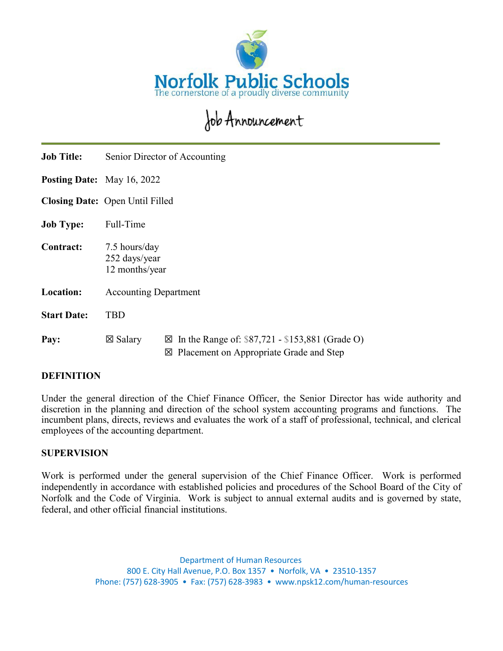

# Job Announcement

| <b>Job Title:</b>                 | Senior Director of Accounting                    |                                                                                                                    |  |
|-----------------------------------|--------------------------------------------------|--------------------------------------------------------------------------------------------------------------------|--|
| <b>Posting Date:</b> May 16, 2022 |                                                  |                                                                                                                    |  |
|                                   | <b>Closing Date:</b> Open Until Filled           |                                                                                                                    |  |
| <b>Job Type:</b>                  | Full-Time                                        |                                                                                                                    |  |
| <b>Contract:</b>                  | 7.5 hours/day<br>252 days/year<br>12 months/year |                                                                                                                    |  |
| Location:                         | <b>Accounting Department</b>                     |                                                                                                                    |  |
| <b>Start Date:</b>                | TBD                                              |                                                                                                                    |  |
| Pay:                              | $\boxtimes$ Salary                               | $\boxtimes$ In the Range of: \$87,721 - \$153,881 (Grade O)<br>$\boxtimes$ Placement on Appropriate Grade and Step |  |

## **DEFINITION**

Under the general direction of the Chief Finance Officer, the Senior Director has wide authority and discretion in the planning and direction of the school system accounting programs and functions. The incumbent plans, directs, reviews and evaluates the work of a staff of professional, technical, and clerical employees of the accounting department.

### **SUPERVISION**

Work is performed under the general supervision of the Chief Finance Officer. Work is performed independently in accordance with established policies and procedures of the School Board of the City of Norfolk and the Code of Virginia. Work is subject to annual external audits and is governed by state, federal, and other official financial institutions.

> Department of Human Resources 800 E. City Hall Avenue, P.O. Box 1357 • Norfolk, VA • 23510-1357 Phone: (757) 628-3905 • Fax: (757) 628-3983 • www.npsk12.com/human-resources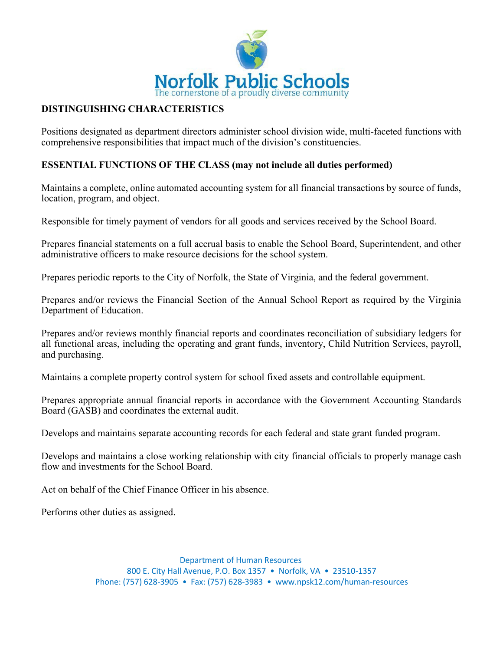

## **DISTINGUISHING CHARACTERISTICS**

Positions designated as department directors administer school division wide, multi-faceted functions with comprehensive responsibilities that impact much of the division's constituencies.

## **ESSENTIAL FUNCTIONS OF THE CLASS (may not include all duties performed)**

Maintains a complete, online automated accounting system for all financial transactions by source of funds, location, program, and object.

Responsible for timely payment of vendors for all goods and services received by the School Board.

Prepares financial statements on a full accrual basis to enable the School Board, Superintendent, and other administrative officers to make resource decisions for the school system.

Prepares periodic reports to the City of Norfolk, the State of Virginia, and the federal government.

Prepares and/or reviews the Financial Section of the Annual School Report as required by the Virginia Department of Education.

Prepares and/or reviews monthly financial reports and coordinates reconciliation of subsidiary ledgers for all functional areas, including the operating and grant funds, inventory, Child Nutrition Services, payroll, and purchasing.

Maintains a complete property control system for school fixed assets and controllable equipment.

Prepares appropriate annual financial reports in accordance with the Government Accounting Standards Board (GASB) and coordinates the external audit.

Develops and maintains separate accounting records for each federal and state grant funded program.

Develops and maintains a close working relationship with city financial officials to properly manage cash flow and investments for the School Board.

Act on behalf of the Chief Finance Officer in his absence.

Performs other duties as assigned.

 Department of Human Resources 800 E. City Hall Avenue, P.O. Box 1357 • Norfolk, VA • 23510-1357 Phone: (757) 628-3905 • Fax: (757) 628-3983 • www.npsk12.com/human-resources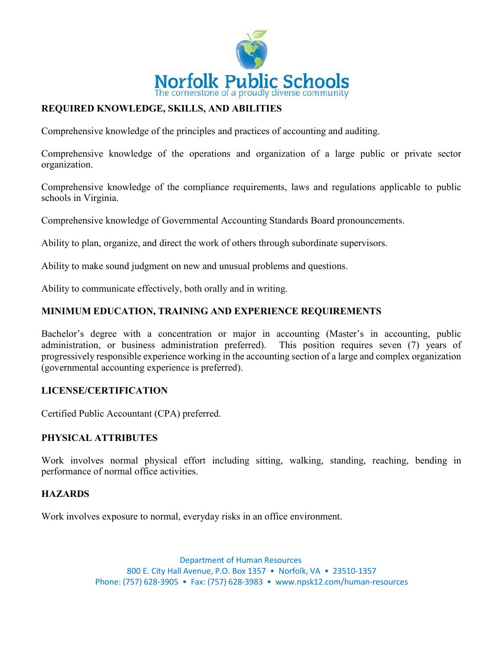

# **REQUIRED KNOWLEDGE, SKILLS, AND ABILITIES**

Comprehensive knowledge of the principles and practices of accounting and auditing.

Comprehensive knowledge of the operations and organization of a large public or private sector organization.

Comprehensive knowledge of the compliance requirements, laws and regulations applicable to public schools in Virginia.

Comprehensive knowledge of Governmental Accounting Standards Board pronouncements.

Ability to plan, organize, and direct the work of others through subordinate supervisors.

Ability to make sound judgment on new and unusual problems and questions.

Ability to communicate effectively, both orally and in writing.

## **MINIMUM EDUCATION, TRAINING AND EXPERIENCE REQUIREMENTS**

Bachelor's degree with a concentration or major in accounting (Master's in accounting, public administration, or business administration preferred). This position requires seven (7) years of progressively responsible experience working in the accounting section of a large and complex organization (governmental accounting experience is preferred).

### **LICENSE/CERTIFICATION**

Certified Public Accountant (CPA) preferred.

### **PHYSICAL ATTRIBUTES**

Work involves normal physical effort including sitting, walking, standing, reaching, bending in performance of normal office activities.

### **HAZARDS**

Work involves exposure to normal, everyday risks in an office environment.

 Department of Human Resources 800 E. City Hall Avenue, P.O. Box 1357 • Norfolk, VA • 23510-1357 Phone: (757) 628-3905 • Fax: (757) 628-3983 • www.npsk12.com/human-resources